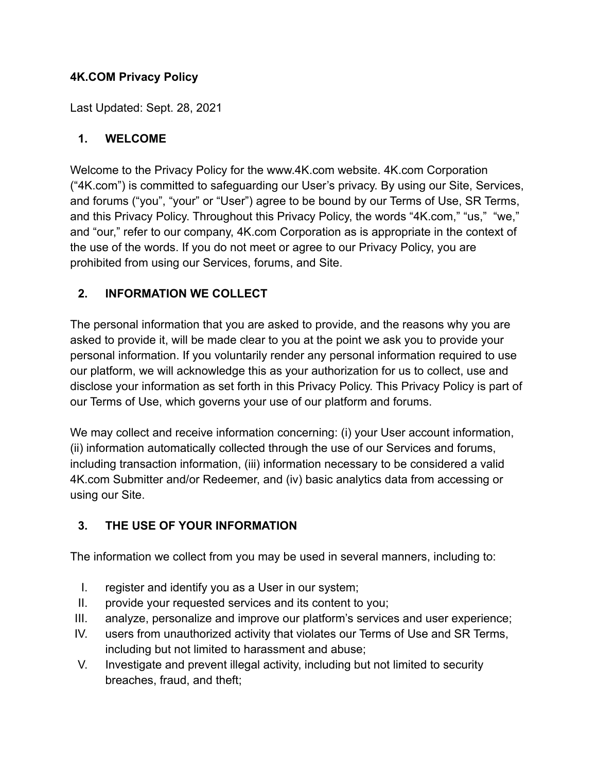#### **4K.COM Privacy Policy**

Last Updated: Sept. 28, 2021

#### **1. WELCOME**

Welcome to the Privacy Policy for the www.4K.com website. 4K.com Corporation ("4K.com") is committed to safeguarding our User's privacy. By using our Site, Services, and forums ("you", "your" or "User") agree to be bound by our Terms of Use, SR Terms, and this Privacy Policy. Throughout this Privacy Policy, the words "4K.com," "us," "we," and "our," refer to our company, 4K.com Corporation as is appropriate in the context of the use of the words. If you do not meet or agree to our Privacy Policy, you are prohibited from using our Services, forums, and Site.

#### **2. INFORMATION WE COLLECT**

The personal information that you are asked to provide, and the reasons why you are asked to provide it, will be made clear to you at the point we ask you to provide your personal information. If you voluntarily render any personal information required to use our platform, we will acknowledge this as your authorization for us to collect, use and disclose your information as set forth in this Privacy Policy. This Privacy Policy is part of our Terms of Use, which governs your use of our platform and forums.

We may collect and receive information concerning: (i) your User account information, (ii) information automatically collected through the use of our Services and forums, including transaction information, (iii) information necessary to be considered a valid 4K.com Submitter and/or Redeemer, and (iv) basic analytics data from accessing or using our Site.

#### **3. THE USE OF YOUR INFORMATION**

The information we collect from you may be used in several manners, including to:

- I. register and identify you as a User in our system;
- II. provide your requested services and its content to you;
- III. analyze, personalize and improve our platform's services and user experience;
- IV. users from unauthorized activity that violates our Terms of Use and SR Terms, including but not limited to harassment and abuse;
- V. Investigate and prevent illegal activity, including but not limited to security breaches, fraud, and theft;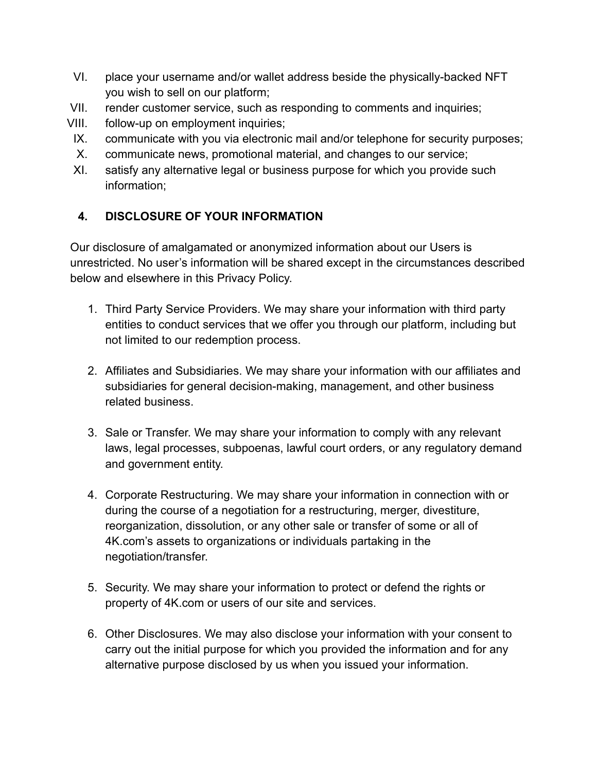- VI. place your username and/or wallet address beside the physically-backed NFT you wish to sell on our platform;
- VII. render customer service, such as responding to comments and inquiries;
- VIII. follow-up on employment inquiries;
	- IX. communicate with you via electronic mail and/or telephone for security purposes;
	- X. communicate news, promotional material, and changes to our service;
	- XI. satisfy any alternative legal or business purpose for which you provide such information;

## **4. DISCLOSURE OF YOUR INFORMATION**

Our disclosure of amalgamated or anonymized information about our Users is unrestricted. No user's information will be shared except in the circumstances described below and elsewhere in this Privacy Policy.

- 1. Third Party Service Providers. We may share your information with third party entities to conduct services that we offer you through our platform, including but not limited to our redemption process.
- 2. Affiliates and Subsidiaries. We may share your information with our affiliates and subsidiaries for general decision-making, management, and other business related business.
- 3. Sale or Transfer. We may share your information to comply with any relevant laws, legal processes, subpoenas, lawful court orders, or any regulatory demand and government entity.
- 4. Corporate Restructuring. We may share your information in connection with or during the course of a negotiation for a restructuring, merger, divestiture, reorganization, dissolution, or any other sale or transfer of some or all of 4K.com's assets to organizations or individuals partaking in the negotiation/transfer.
- 5. Security. We may share your information to protect or defend the rights or property of 4K.com or users of our site and services.
- 6. Other Disclosures. We may also disclose your information with your consent to carry out the initial purpose for which you provided the information and for any alternative purpose disclosed by us when you issued your information.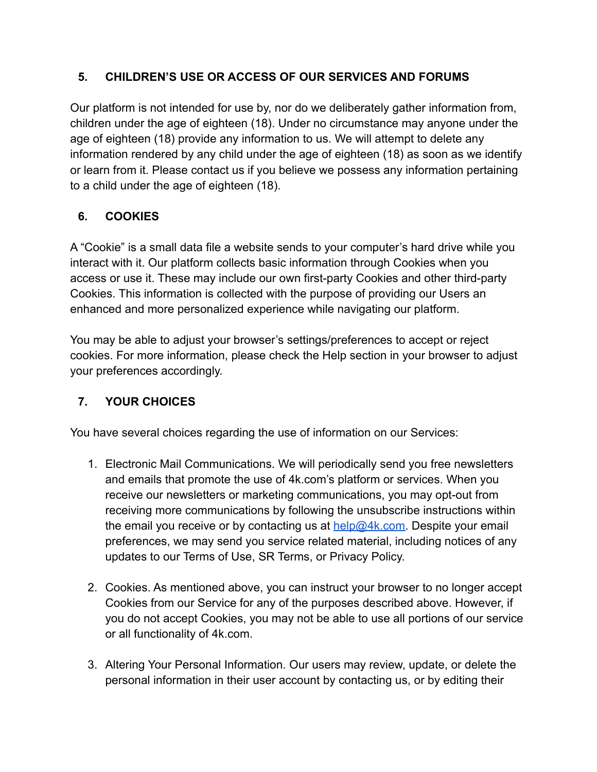#### **5. CHILDREN'S USE OR ACCESS OF OUR SERVICES AND FORUMS**

Our platform is not intended for use by, nor do we deliberately gather information from, children under the age of eighteen (18). Under no circumstance may anyone under the age of eighteen (18) provide any information to us. We will attempt to delete any information rendered by any child under the age of eighteen (18) as soon as we identify or learn from it. Please contact us if you believe we possess any information pertaining to a child under the age of eighteen (18).

# **6. COOKIES**

A "Cookie" is a small data file a website sends to your computer's hard drive while you interact with it. Our platform collects basic information through Cookies when you access or use it. These may include our own first-party Cookies and other third-party Cookies. This information is collected with the purpose of providing our Users an enhanced and more personalized experience while navigating our platform.

You may be able to adjust your browser's settings/preferences to accept or reject cookies. For more information, please check the Help section in your browser to adjust your preferences accordingly.

## **7. YOUR CHOICES**

You have several choices regarding the use of information on our Services:

- 1. Electronic Mail Communications. We will periodically send you free newsletters and emails that promote the use of 4k.com's platform or services. When you receive our newsletters or marketing communications, you may opt-out from receiving more communications by following the unsubscribe instructions within the email you receive or by contacting us at  $h$ elp@4k.com. Despite your email preferences, we may send you service related material, including notices of any updates to our Terms of Use, SR Terms, or Privacy Policy.
- 2. Cookies. As mentioned above, you can instruct your browser to no longer accept Cookies from our Service for any of the purposes described above. However, if you do not accept Cookies, you may not be able to use all portions of our service or all functionality of 4k.com.
- 3. Altering Your Personal Information. Our users may review, update, or delete the personal information in their user account by contacting us, or by editing their